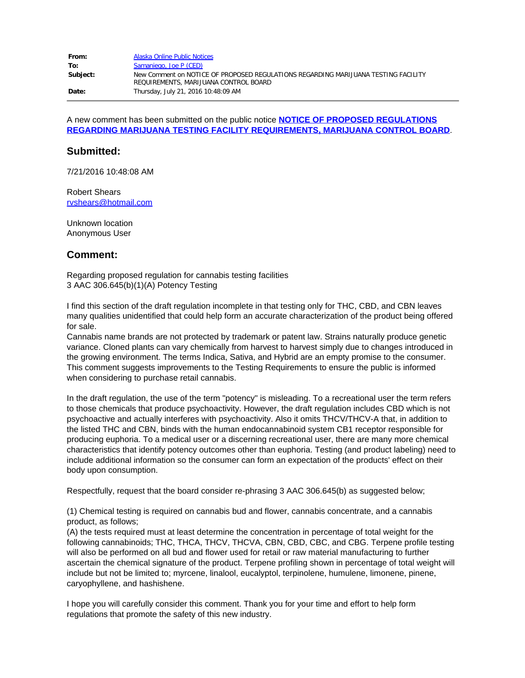| From:    | Alaska Online Public Notices                                                                                                |  |
|----------|-----------------------------------------------------------------------------------------------------------------------------|--|
| To:      | Samaniego, Joe P (CED)                                                                                                      |  |
| Subject: | New Comment on NOTICE OF PROPOSED REGULATIONS REGARDING MARLIUANA TESTING FACILITY<br>REQUIREMENTS, MARIJUANA CONTROL BOARD |  |
| Date:    | Thursday, July 21, 2016 10:48:09 AM                                                                                         |  |

A new comment has been submitted on the public notice **[NOTICE OF PROPOSED REGULATIONS](http://notice.alaska.gov/182156) [REGARDING MARIJUANA TESTING FACILITY REQUIREMENTS, MARIJUANA CONTROL BOARD](http://notice.alaska.gov/182156)**.

#### **Submitted:**

7/21/2016 10:48:08 AM

Robert Shears [rvshears@hotmail.com](mailto:rvshears@hotmail.com)

Unknown location Anonymous User

# **Comment:**

Regarding proposed regulation for cannabis testing facilities 3 AAC 306.645(b)(1)(A) Potency Testing

I find this section of the draft regulation incomplete in that testing only for THC, CBD, and CBN leaves many qualities unidentified that could help form an accurate characterization of the product being offered for sale.

Cannabis name brands are not protected by trademark or patent law. Strains naturally produce genetic variance. Cloned plants can vary chemically from harvest to harvest simply due to changes introduced in the growing environment. The terms Indica, Sativa, and Hybrid are an empty promise to the consumer. This comment suggests improvements to the Testing Requirements to ensure the public is informed when considering to purchase retail cannabis.

In the draft regulation, the use of the term "potency" is misleading. To a recreational user the term refers to those chemicals that produce psychoactivity. However, the draft regulation includes CBD which is not psychoactive and actually interferes with psychoactivity. Also it omits THCV/THCV-A that, in addition to the listed THC and CBN, binds with the human endocannabinoid system CB1 receptor responsible for producing euphoria. To a medical user or a discerning recreational user, there are many more chemical characteristics that identify potency outcomes other than euphoria. Testing (and product labeling) need to include additional information so the consumer can form an expectation of the products' effect on their body upon consumption.

Respectfully, request that the board consider re-phrasing 3 AAC 306.645(b) as suggested below;

(1) Chemical testing is required on cannabis bud and flower, cannabis concentrate, and a cannabis product, as follows;

(A) the tests required must at least determine the concentration in percentage of total weight for the following cannabinoids; THC, THCA, THCV, THCVA, CBN, CBD, CBC, and CBG. Terpene profile testing will also be performed on all bud and flower used for retail or raw material manufacturing to further ascertain the chemical signature of the product. Terpene profiling shown in percentage of total weight will include but not be limited to; myrcene, linalool, eucalyptol, terpinolene, humulene, limonene, pinene, caryophyllene, and hashishene.

I hope you will carefully consider this comment. Thank you for your time and effort to help form regulations that promote the safety of this new industry.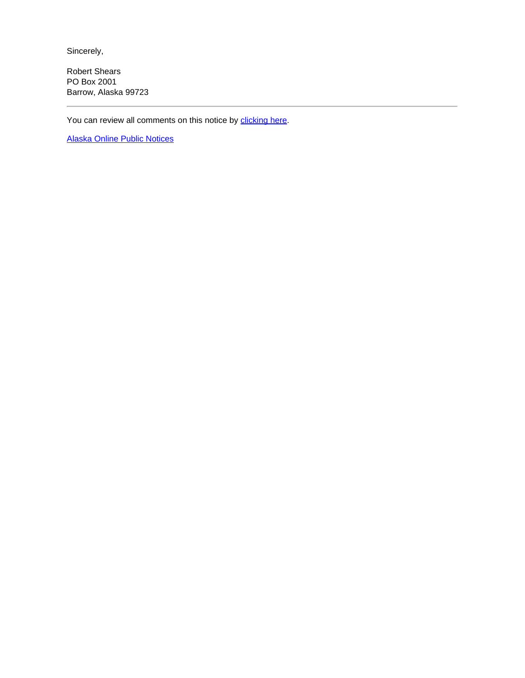Sincerely,

Robert Shears PO Box 2001 Barrow, Alaska 99723

You can review all comments on this notice by [clicking here.](http://aws.state.ak.us/OnlinePublicNotices/Notices/Comments.aspx?noticeId=182156)

[Alaska Online Public Notices](http://notice.alaska.gov/)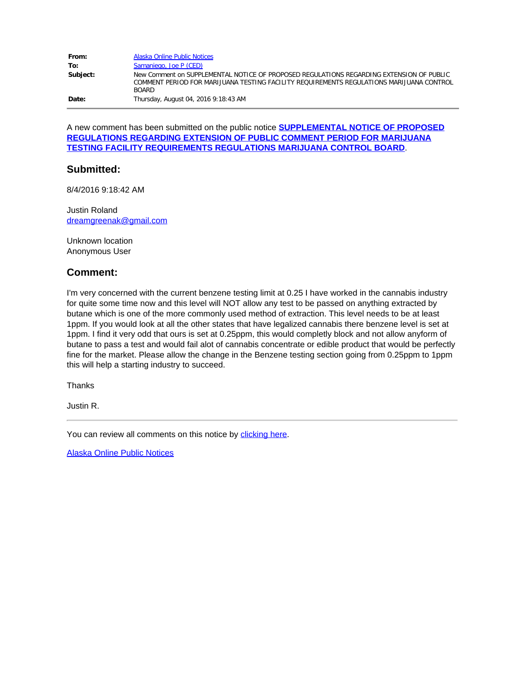| From:    | Alaska Online Public Notices                                                                                                                                                                         |
|----------|------------------------------------------------------------------------------------------------------------------------------------------------------------------------------------------------------|
| To:      | Samaniego, Joe P (CED)                                                                                                                                                                               |
| Subject: | New Comment on SUPPLEMENTAL NOTICE OF PROPOSED REGULATIONS REGARDING EXTENSION OF PUBLIC<br>COMMENT PERIOD FOR MARIJUANA TESTING FACILITY REQUIREMENTS REGULATIONS MARIJUANA CONTROL<br><b>BOARD</b> |
| Date:    | Thursday, August 04, 2016 9:18:43 AM                                                                                                                                                                 |

A new comment has been submitted on the public notice **[SUPPLEMENTAL NOTICE OF PROPOSED](http://notice.alaska.gov/182190) [REGULATIONS REGARDING EXTENSION OF PUBLIC COMMENT PERIOD FOR MARIJUANA](http://notice.alaska.gov/182190) [TESTING FACILITY REQUIREMENTS REGULATIONS MARIJUANA CONTROL BOARD](http://notice.alaska.gov/182190)**.

# **Submitted:**

8/4/2016 9:18:42 AM

Justin Roland [dreamgreenak@gmail.com](mailto:dreamgreenak@gmail.com)

Unknown location Anonymous User

# **Comment:**

I'm very concerned with the current benzene testing limit at 0.25 I have worked in the cannabis industry for quite some time now and this level will NOT allow any test to be passed on anything extracted by butane which is one of the more commonly used method of extraction. This level needs to be at least 1ppm. If you would look at all the other states that have legalized cannabis there benzene level is set at 1ppm. I find it very odd that ours is set at 0.25ppm, this would completly block and not allow anyform of butane to pass a test and would fail alot of cannabis concentrate or edible product that would be perfectly fine for the market. Please allow the change in the Benzene testing section going from 0.25ppm to 1ppm this will help a starting industry to succeed.

Thanks

Justin R.

You can review all comments on this notice by [clicking here.](http://aws.state.ak.us/OnlinePublicNotices/Notices/Comments.aspx?noticeId=182190)

[Alaska Online Public Notices](http://notice.alaska.gov/)